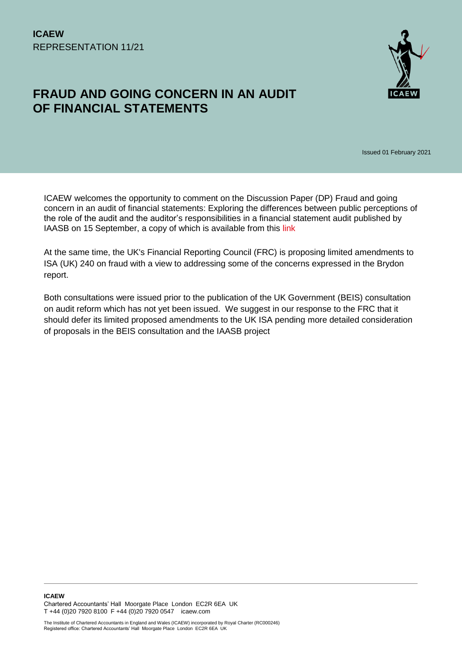# **FRAUD AND GOING CONCERN IN AN AUDIT OF FINANCIAL STATEMENTS**



Issued 01 February 2021

ICAEW welcomes the opportunity to comment on the Discussion Paper (DP) Fraud and going concern in an audit of financial statements: Exploring the differences between public perceptions of the role of the audit and the auditor's responsibilities in a financial statement audit published by IAASB on 15 September, a copy of which is available from this [link](https://www.iaasb.org/publications/fraud-and-going-concern-audit-financial-statements)

At the same time, the UK's Financial Reporting Council (FRC) is proposing limited amendments to ISA (UK) 240 on fraud with a view to addressing some of the concerns expressed in the Brydon report.

Both consultations were issued prior to the publication of the UK Government (BEIS) consultation on audit reform which has not yet been issued. We suggest in our response to the FRC that it should defer its limited proposed amendments to the UK ISA pending more detailed consideration of proposals in the BEIS consultation and the IAASB project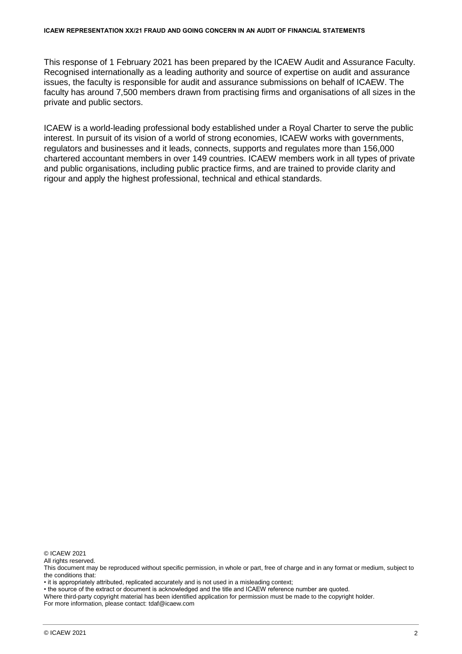This response of 1 February 2021 has been prepared by the ICAEW Audit and Assurance Faculty. Recognised internationally as a leading authority and source of expertise on audit and assurance issues, the faculty is responsible for audit and assurance submissions on behalf of ICAEW. The faculty has around 7,500 members drawn from practising firms and organisations of all sizes in the private and public sectors.

ICAEW is a world-leading professional body established under a Royal Charter to serve the public interest. In pursuit of its vision of a world of strong economies, ICAEW works with governments, regulators and businesses and it leads, connects, supports and regulates more than 156,000 chartered accountant members in over 149 countries. ICAEW members work in all types of private and public organisations, including public practice firms, and are trained to provide clarity and rigour and apply the highest professional, technical and ethical standards.

© ICAEW 2021

All rights reserved.

• it is appropriately attributed, replicated accurately and is not used in a misleading context;

• the source of the extract or document is acknowledged and the title and ICAEW reference number are quoted.

Where third-party copyright material has been identified application for permission must be made to the copyright holder. For more information, please contact: tdaf@icaew.com

This document may be reproduced without specific permission, in whole or part, free of charge and in any format or medium, subject to the conditions that: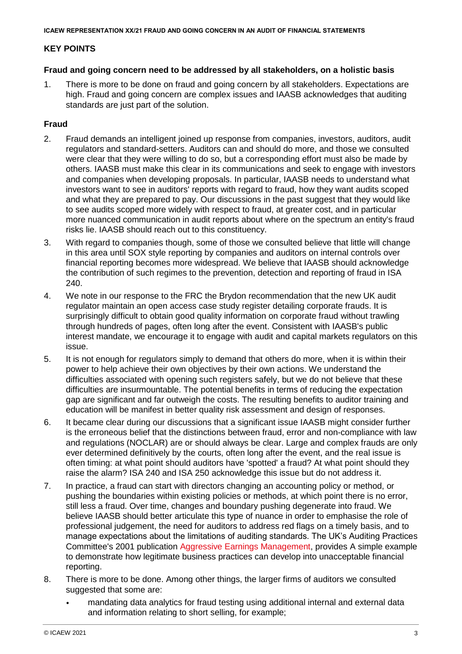# **KEY POINTS**

### **Fraud and going concern need to be addressed by all stakeholders, on a holistic basis**

1. There is more to be done on fraud and going concern by all stakeholders. Expectations are high. Fraud and going concern are complex issues and IAASB acknowledges that auditing standards are just part of the solution.

# **Fraud**

- 2. Fraud demands an intelligent joined up response from companies, investors, auditors, audit regulators and standard-setters. Auditors can and should do more, and those we consulted were clear that they were willing to do so, but a corresponding effort must also be made by others. IAASB must make this clear in its communications and seek to engage with investors and companies when developing proposals. In particular, IAASB needs to understand what investors want to see in auditors' reports with regard to fraud, how they want audits scoped and what they are prepared to pay. Our discussions in the past suggest that they would like to see audits scoped more widely with respect to fraud, at greater cost, and in particular more nuanced communication in audit reports about where on the spectrum an entity's fraud risks lie. IAASB should reach out to this constituency.
- 3. With regard to companies though, some of those we consulted believe that little will change in this area until SOX style reporting by companies and auditors on internal controls over financial reporting becomes more widespread. We believe that IAASB should acknowledge the contribution of such regimes to the prevention, detection and reporting of fraud in ISA 240.
- 4. We note in our response to the FRC the Brydon recommendation that the new UK audit regulator maintain an open access case study register detailing corporate frauds. It is surprisingly difficult to obtain good quality information on corporate fraud without trawling through hundreds of pages, often long after the event. Consistent with IAASB's public interest mandate, we encourage it to engage with audit and capital markets regulators on this issue.
- 5. It is not enough for regulators simply to demand that others do more, when it is within their power to help achieve their own objectives by their own actions. We understand the difficulties associated with opening such registers safely, but we do not believe that these difficulties are insurmountable. The potential benefits in terms of reducing the expectation gap are significant and far outweigh the costs. The resulting benefits to auditor training and education will be manifest in better quality risk assessment and design of responses.
- 6. It became clear during our discussions that a significant issue IAASB might consider further is the erroneous belief that the distinctions between fraud, error and non-compliance with law and regulations (NOCLAR) are or should always be clear. Large and complex frauds are only ever determined definitively by the courts, often long after the event, and the real issue is often timing: at what point should auditors have 'spotted' a fraud? At what point should they raise the alarm? ISA 240 and ISA 250 acknowledge this issue but do not address it.
- 7. In practice, a fraud can start with directors changing an accounting policy or method, or pushing the boundaries within existing policies or methods, at which point there is no error, still less a fraud. Over time, changes and boundary pushing degenerate into fraud. We believe IAASB should better articulate this type of nuance in order to emphasise the role of professional judgement, the need for auditors to address red flags on a timely basis, and to manage expectations about the limitations of auditing standards. The UK's Auditing Practices Committee's 2001 publication [Aggressive Earnings Management,](file:///C:/Users/td2kb/Downloads/In%20practice,%20a%20fraud%20can%20start%20with%20directors%20changing%20an%20accounting%20policy%20or%20method,%20or%20pushing%20the%20boundaries%20within%20existing%20policies%20or%20methods,%20at%20which%20point%20there%20is%20no%20error,%20still%20less%20a%20fraud.%20Over%20time,%20changes%20and%20boundary%20pushing%20degenerate%20into%20fraud.%20We%20believe%20IAASB%20should%20better%20articulate%20this%20type%20of%20nuance%20in%20order%20to%20emphasise%20the%20role%20of%20professional%20judgement,%20the%20need%20for%20auditors%20to%20address%20red%20flags%20on%20a%20timely%20basis,%20and%20to%20manage%20expectations%20about%20the%20limitations%20of%20auditing%20standards.%20The%20UK’s%20Auditing%20Practice%20Committee) provides A simple example to demonstrate how legitimate business practices can develop into unacceptable financial reporting.
- 8. There is more to be done. Among other things, the larger firms of auditors we consulted suggested that some are:
	- mandating data analytics for fraud testing using additional internal and external data and information relating to short selling, for example;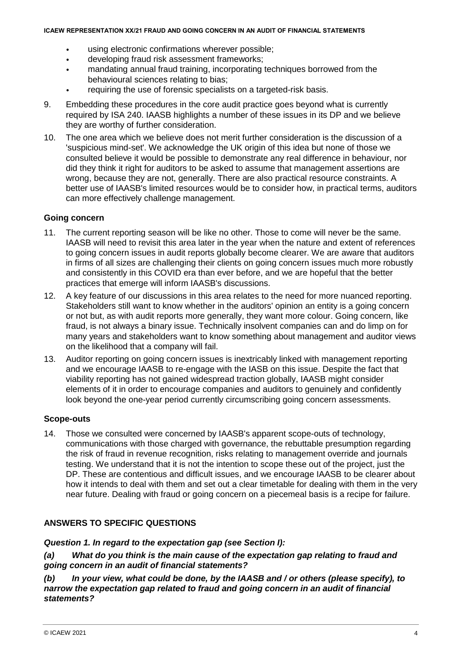- using electronic confirmations wherever possible;
- developing fraud risk assessment frameworks;
- mandating annual fraud training, incorporating techniques borrowed from the behavioural sciences relating to bias;
- requiring the use of forensic specialists on a targeted-risk basis.
- 9. Embedding these procedures in the core audit practice goes beyond what is currently required by ISA 240. IAASB highlights a number of these issues in its DP and we believe they are worthy of further consideration.
- 10. The one area which we believe does not merit further consideration is the discussion of a 'suspicious mind-set'. We acknowledge the UK origin of this idea but none of those we consulted believe it would be possible to demonstrate any real difference in behaviour, nor did they think it right for auditors to be asked to assume that management assertions are wrong, because they are not, generally. There are also practical resource constraints. A better use of IAASB's limited resources would be to consider how, in practical terms, auditors can more effectively challenge management.

### **Going concern**

- 11. The current reporting season will be like no other. Those to come will never be the same. IAASB will need to revisit this area later in the year when the nature and extent of references to going concern issues in audit reports globally become clearer. We are aware that auditors in firms of all sizes are challenging their clients on going concern issues much more robustly and consistently in this COVID era than ever before, and we are hopeful that the better practices that emerge will inform IAASB's discussions.
- 12. A key feature of our discussions in this area relates to the need for more nuanced reporting. Stakeholders still want to know whether in the auditors' opinion an entity is a going concern or not but, as with audit reports more generally, they want more colour. Going concern, like fraud, is not always a binary issue. Technically insolvent companies can and do limp on for many years and stakeholders want to know something about management and auditor views on the likelihood that a company will fail.
- 13. Auditor reporting on going concern issues is inextricably linked with management reporting and we encourage IAASB to re-engage with the IASB on this issue. Despite the fact that viability reporting has not gained widespread traction globally, IAASB might consider elements of it in order to encourage companies and auditors to genuinely and confidently look beyond the one-year period currently circumscribing going concern assessments.

### **Scope-outs**

14. Those we consulted were concerned by IAASB's apparent scope-outs of technology, communications with those charged with governance, the rebuttable presumption regarding the risk of fraud in revenue recognition, risks relating to management override and journals testing. We understand that it is not the intention to scope these out of the project, just the DP. These are contentious and difficult issues, and we encourage IAASB to be clearer about how it intends to deal with them and set out a clear timetable for dealing with them in the very near future. Dealing with fraud or going concern on a piecemeal basis is a recipe for failure.

# **ANSWERS TO SPECIFIC QUESTIONS**

### *Question 1. In regard to the expectation gap (see Section I):*

*(a) What do you think is the main cause of the expectation gap relating to fraud and going concern in an audit of financial statements?*

*(b) In your view, what could be done, by the IAASB and / or others (please specify), to narrow the expectation gap related to fraud and going concern in an audit of financial statements?*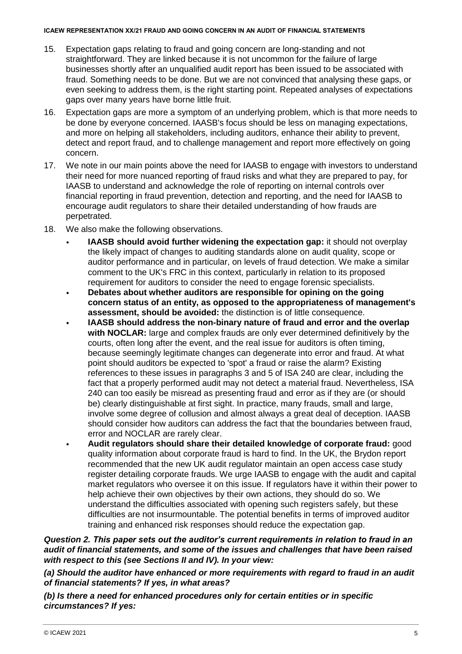- 15. Expectation gaps relating to fraud and going concern are long-standing and not straightforward. They are linked because it is not uncommon for the failure of large businesses shortly after an unqualified audit report has been issued to be associated with fraud. Something needs to be done. But we are not convinced that analysing these gaps, or even seeking to address them, is the right starting point. Repeated analyses of expectations gaps over many years have borne little fruit.
- 16. Expectation gaps are more a symptom of an underlying problem, which is that more needs to be done by everyone concerned. IAASB's focus should be less on managing expectations, and more on helping all stakeholders, including auditors, enhance their ability to prevent, detect and report fraud, and to challenge management and report more effectively on going concern.
- 17. We note in our main points above the need for IAASB to engage with investors to understand their need for more nuanced reporting of fraud risks and what they are prepared to pay, for IAASB to understand and acknowledge the role of reporting on internal controls over financial reporting in fraud prevention, detection and reporting, and the need for IAASB to encourage audit regulators to share their detailed understanding of how frauds are perpetrated.
- 18. We also make the following observations.
	- **IAASB should avoid further widening the expectation gap:** it should not overplay the likely impact of changes to auditing standards alone on audit quality, scope or auditor performance and in particular, on levels of fraud detection. We make a similar comment to the UK's FRC in this context, particularly in relation to its proposed requirement for auditors to consider the need to engage forensic specialists.
	- **Debates about whether auditors are responsible for opining on the going concern status of an entity, as opposed to the appropriateness of management's assessment, should be avoided:** the distinction is of little consequence.
	- **IAASB should address the non-binary nature of fraud and error and the overlap with NOCLAR:** large and complex frauds are only ever determined definitively by the courts, often long after the event, and the real issue for auditors is often timing, because seemingly legitimate changes can degenerate into error and fraud. At what point should auditors be expected to 'spot' a fraud or raise the alarm? Existing references to these issues in paragraphs 3 and 5 of ISA 240 are clear, including the fact that a properly performed audit may not detect a material fraud. Nevertheless, ISA 240 can too easily be misread as presenting fraud and error as if they are (or should be) clearly distinguishable at first sight. In practice, many frauds, small and large, involve some degree of collusion and almost always a great deal of deception. IAASB should consider how auditors can address the fact that the boundaries between fraud, error and NOCLAR are rarely clear.
		- **Audit regulators should share their detailed knowledge of corporate fraud:** good quality information about corporate fraud is hard to find. In the UK, the Brydon report recommended that the new UK audit regulator maintain an open access case study register detailing corporate frauds. We urge IAASB to engage with the audit and capital market regulators who oversee it on this issue. If regulators have it within their power to help achieve their own objectives by their own actions, they should do so. We understand the difficulties associated with opening such registers safely, but these difficulties are not insurmountable. The potential benefits in terms of improved auditor training and enhanced risk responses should reduce the expectation gap.

*Question 2. This paper sets out the auditor's current requirements in relation to fraud in an audit of financial statements, and some of the issues and challenges that have been raised with respect to this (see Sections II and IV). In your view:*

*(a) Should the auditor have enhanced or more requirements with regard to fraud in an audit of financial statements? If yes, in what areas?*

*(b) Is there a need for enhanced procedures only for certain entities or in specific circumstances? If yes:*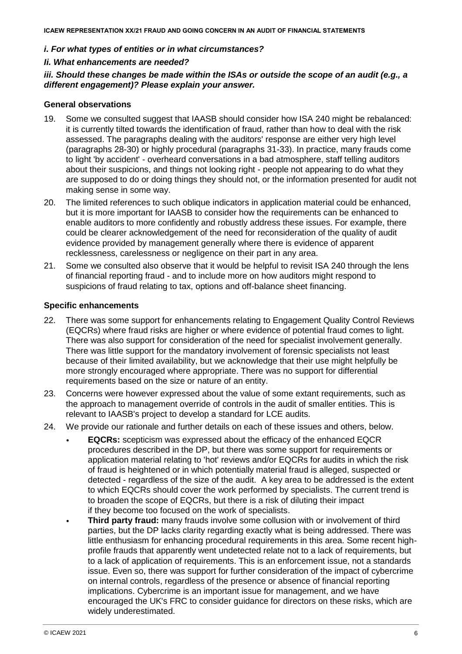### *i. For what types of entities or in what circumstances?*

### *Ii. What enhancements are needed?*

*iii. Should these changes be made within the ISAs or outside the scope of an audit (e.g., a different engagement)? Please explain your answer.*

### **General observations**

- 19. Some we consulted suggest that IAASB should consider how ISA 240 might be rebalanced: it is currently tilted towards the identification of fraud, rather than how to deal with the risk assessed. The paragraphs dealing with the auditors' response are either very high level (paragraphs 28-30) or highly procedural (paragraphs 31-33). In practice, many frauds come to light 'by accident' - overheard conversations in a bad atmosphere, staff telling auditors about their suspicions, and things not looking right - people not appearing to do what they are supposed to do or doing things they should not, or the information presented for audit not making sense in some way.
- 20. The limited references to such oblique indicators in application material could be enhanced, but it is more important for IAASB to consider how the requirements can be enhanced to enable auditors to more confidently and robustly address these issues. For example, there could be clearer acknowledgement of the need for reconsideration of the quality of audit evidence provided by management generally where there is evidence of apparent recklessness, carelessness or negligence on their part in any area.
- 21. Some we consulted also observe that it would be helpful to revisit ISA 240 through the lens of financial reporting fraud - and to include more on how auditors might respond to suspicions of fraud relating to tax, options and off-balance sheet financing.

### **Specific enhancements**

- 22. There was some support for enhancements relating to Engagement Quality Control Reviews (EQCRs) where fraud risks are higher or where evidence of potential fraud comes to light. There was also support for consideration of the need for specialist involvement generally. There was little support for the mandatory involvement of forensic specialists not least because of their limited availability, but we acknowledge that their use might helpfully be more strongly encouraged where appropriate. There was no support for differential requirements based on the size or nature of an entity.
- 23. Concerns were however expressed about the value of some extant requirements, such as the approach to management override of controls in the audit of smaller entities. This is relevant to IAASB's project to develop a standard for LCE audits.
- 24. We provide our rationale and further details on each of these issues and others, below.
	- **EQCRs:** scepticism was expressed about the efficacy of the enhanced EQCR procedures described in the DP, but there was some support for requirements or application material relating to 'hot' reviews and/or EQCRs for audits in which the risk of fraud is heightened or in which potentially material fraud is alleged, suspected or detected - regardless of the size of the audit. A key area to be addressed is the extent to which EQCRs should cover the work performed by specialists. The current trend is to broaden the scope of EQCRs, but there is a risk of diluting their impact if they become too focused on the work of specialists.
	- **Third party fraud:** many frauds involve some collusion with or involvement of third parties, but the DP lacks clarity regarding exactly what is being addressed. There was little enthusiasm for enhancing procedural requirements in this area. Some recent highprofile frauds that apparently went undetected relate not to a lack of requirements, but to a lack of application of requirements. This is an enforcement issue, not a standards issue. Even so, there was support for further consideration of the impact of cybercrime on internal controls, regardless of the presence or absence of financial reporting implications. Cybercrime is an important issue for management, and we have encouraged the UK's FRC to consider guidance for directors on these risks, which are widely underestimated.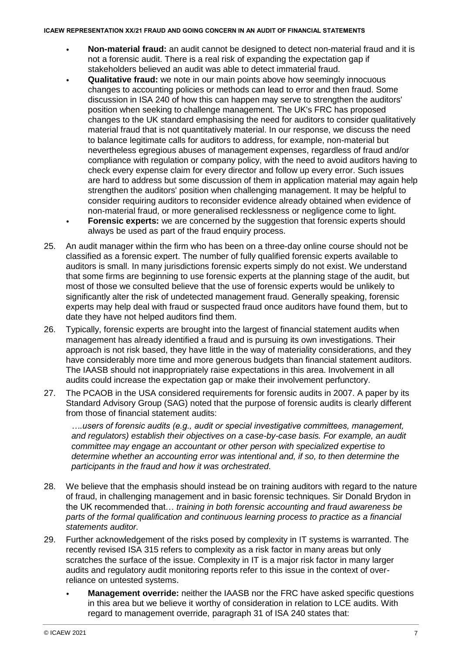- **Non-material fraud:** an audit cannot be designed to detect non-material fraud and it is not a forensic audit. There is a real risk of expanding the expectation gap if stakeholders believed an audit was able to detect immaterial fraud.
- **Qualitative fraud:** we note in our main points above how seemingly innocuous changes to accounting policies or methods can lead to error and then fraud. Some discussion in ISA 240 of how this can happen may serve to strengthen the auditors' position when seeking to challenge management. The UK's FRC has proposed changes to the UK standard emphasising the need for auditors to consider qualitatively material fraud that is not quantitatively material. In our response, we discuss the need to balance legitimate calls for auditors to address, for example, non-material but nevertheless egregious abuses of management expenses, regardless of fraud and/or compliance with regulation or company policy, with the need to avoid auditors having to check every expense claim for every director and follow up every error. Such issues are hard to address but some discussion of them in application material may again help strengthen the auditors' position when challenging management. It may be helpful to consider requiring auditors to reconsider evidence already obtained when evidence of non-material fraud, or more generalised recklessness or negligence come to light.
- **Forensic experts:** we are concerned by the suggestion that forensic experts should always be used as part of the fraud enquiry process.
- 25. An audit manager within the firm who has been on a three-day online course should not be classified as a forensic expert. The number of fully qualified forensic experts available to auditors is small. In many jurisdictions forensic experts simply do not exist. We understand that some firms are beginning to use forensic experts at the planning stage of the audit, but most of those we consulted believe that the use of forensic experts would be unlikely to significantly alter the risk of undetected management fraud. Generally speaking, forensic experts may help deal with fraud or suspected fraud once auditors have found them, but to date they have not helped auditors find them.
- 26. Typically, forensic experts are brought into the largest of financial statement audits when management has already identified a fraud and is pursuing its own investigations. Their approach is not risk based, they have little in the way of materiality considerations, and they have considerably more time and more generous budgets than financial statement auditors. The IAASB should not inappropriately raise expectations in this area. Involvement in all audits could increase the expectation gap or make their involvement perfunctory.
- 27. The PCAOB in the USA considered requirements for forensic audits in 2007. A paper by its Standard Advisory Group (SAG) noted that the purpose of forensic audits is clearly different from those of financial statement audits:

*….users of forensic audits (e.g., audit or special investigative committees, management, and regulators) establish their objectives on a case-by-case basis. For example, an audit committee may engage an accountant or other person with specialized expertise to determine whether an accounting error was intentional and, if so, to then determine the participants in the fraud and how it was orchestrated.*

- 28. We believe that the emphasis should instead be on training auditors with regard to the nature of fraud, in challenging management and in basic forensic techniques. Sir Donald Brydon in the UK recommended that… *training in both forensic accounting and fraud awareness be parts of the formal qualification and continuous learning process to practice as a financial statements auditor.*
- 29. Further acknowledgement of the risks posed by complexity in IT systems is warranted. The recently revised ISA 315 refers to complexity as a risk factor in many areas but only scratches the surface of the issue. Complexity in IT is a major risk factor in many larger audits and regulatory audit monitoring reports refer to this issue in the context of overreliance on untested systems.
	- **Management override:** neither the IAASB nor the FRC have asked specific questions in this area but we believe it worthy of consideration in relation to LCE audits. With regard to management override, paragraph 31 of ISA 240 states that: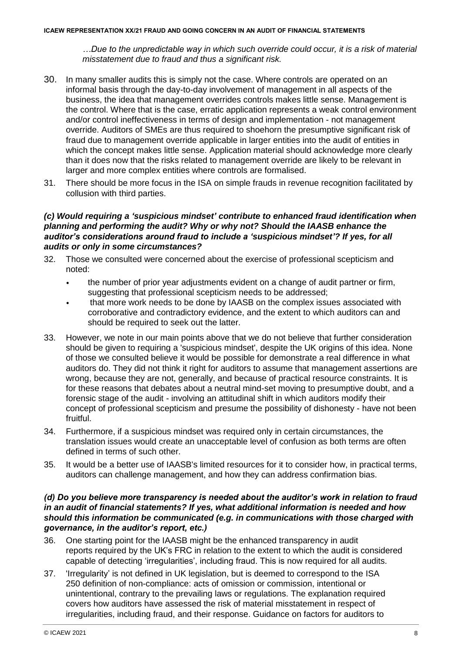*…Due to the unpredictable way in which such override could occur, it is a risk of material misstatement due to fraud and thus a significant risk.*

- 30. In many smaller audits this is simply not the case. Where controls are operated on an informal basis through the day-to-day involvement of management in all aspects of the business, the idea that management overrides controls makes little sense. Management is the control. Where that is the case, erratic application represents a weak control environment and/or control ineffectiveness in terms of design and implementation - not management override. Auditors of SMEs are thus required to shoehorn the presumptive significant risk of fraud due to management override applicable in larger entities into the audit of entities in which the concept makes little sense. Application material should acknowledge more clearly than it does now that the risks related to management override are likely to be relevant in larger and more complex entities where controls are formalised.
- 31. There should be more focus in the ISA on simple frauds in revenue recognition facilitated by collusion with third parties.

## *(c) Would requiring a 'suspicious mindset' contribute to enhanced fraud identification when planning and performing the audit? Why or why not? Should the IAASB enhance the auditor's considerations around fraud to include a 'suspicious mindset'? If yes, for all audits or only in some circumstances?*

- 32. Those we consulted were concerned about the exercise of professional scepticism and noted:
	- the number of prior year adjustments evident on a change of audit partner or firm, suggesting that professional scepticism needs to be addressed;
	- that more work needs to be done by IAASB on the complex issues associated with corroborative and contradictory evidence, and the extent to which auditors can and should be required to seek out the latter.
- 33. However, we note in our main points above that we do not believe that further consideration should be given to requiring a 'suspicious mindset', despite the UK origins of this idea. None of those we consulted believe it would be possible for demonstrate a real difference in what auditors do. They did not think it right for auditors to assume that management assertions are wrong, because they are not, generally, and because of practical resource constraints. It is for these reasons that debates about a neutral mind-set moving to presumptive doubt, and a forensic stage of the audit - involving an attitudinal shift in which auditors modify their concept of professional scepticism and presume the possibility of dishonesty - have not been fruitful.
- 34. Furthermore, if a suspicious mindset was required only in certain circumstances, the translation issues would create an unacceptable level of confusion as both terms are often defined in terms of such other.
- 35. It would be a better use of IAASB's limited resources for it to consider how, in practical terms, auditors can challenge management, and how they can address confirmation bias.

### *(d) Do you believe more transparency is needed about the auditor's work in relation to fraud in an audit of financial statements? If yes, what additional information is needed and how should this information be communicated (e.g. in communications with those charged with governance, in the auditor's report, etc.)*

- 36. One starting point for the IAASB might be the enhanced transparency in audit reports required by the UK's FRC in relation to the extent to which the audit is considered capable of detecting 'irregularities', including fraud. This is now required for all audits.
- 37. 'Irregularity' is not defined in UK legislation, but is deemed to correspond to the ISA 250 definition of non-compliance: acts of omission or commission, intentional or unintentional, contrary to the prevailing laws or regulations. The explanation required covers how auditors have assessed the risk of material misstatement in respect of irregularities, including fraud, and their response. [Guidance](https://www.icaew.com/technical/audit-and-assurance/audit/reporting-and-completion/how-to-report-on-irregularities) on factors for auditors to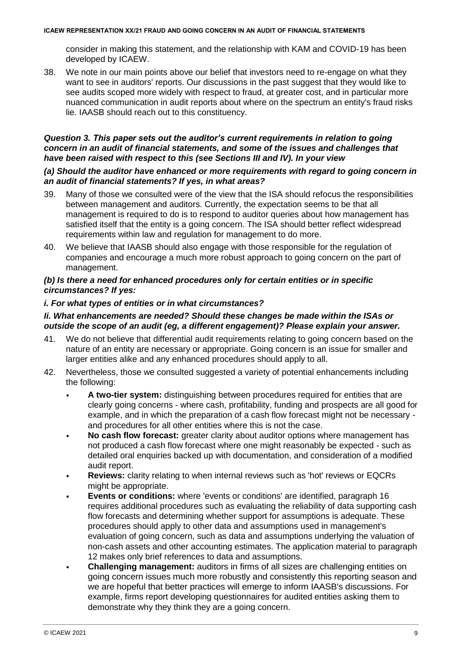consider in making this statement, and the relationship with KAM and COVID-19 has been developed by ICAEW.

38. We note in our main points above our belief that investors need to re-engage on what they want to see in auditors' reports. Our discussions in the past suggest that they would like to see audits scoped more widely with respect to fraud, at greater cost, and in particular more nuanced communication in audit reports about where on the spectrum an entity's fraud risks lie. IAASB should reach out to this constituency.

# *Question 3. This paper sets out the auditor's current requirements in relation to going concern in an audit of financial statements, and some of the issues and challenges that have been raised with respect to this (see Sections III and IV). In your view*

### *(a) Should the auditor have enhanced or more requirements with regard to going concern in an audit of financial statements? If yes, in what areas?*

- 39. Many of those we consulted were of the view that the ISA should refocus the responsibilities between management and auditors. Currently, the expectation seems to be that all management is required to do is to respond to auditor queries about how management has satisfied itself that the entity is a going concern. The ISA should better reflect widespread requirements within law and regulation for management to do more.
- 40. We believe that IAASB should also engage with those responsible for the regulation of companies and encourage a much more robust approach to going concern on the part of management.

# *(b) Is there a need for enhanced procedures only for certain entities or in specific circumstances? If yes:*

### *i. For what types of entities or in what circumstances?*

# *Ii. What enhancements are needed? Should these changes be made within the ISAs or outside the scope of an audit (eg, a different engagement)? Please explain your answer.*

- 41. We do not believe that differential audit requirements relating to going concern based on the nature of an entity are necessary or appropriate. Going concern is an issue for smaller and larger entities alike and any enhanced procedures should apply to all.
- 42. Nevertheless, those we consulted suggested a variety of potential enhancements including the following:
	- **A two-tier system:** distinguishing between procedures required for entities that are clearly going concerns - where cash, profitability, funding and prospects are all good for example, and in which the preparation of a cash flow forecast might not be necessary and procedures for all other entities where this is not the case.
	- **No cash flow forecast:** greater clarity about auditor options where management has not produced a cash flow forecast where one might reasonably be expected - such as detailed oral enquiries backed up with documentation, and consideration of a modified audit report.
	- **Reviews:** clarity relating to when internal reviews such as 'hot' reviews or EQCRs might be appropriate.
	- **Events or conditions:** where 'events or conditions' are identified, paragraph 16 requires additional procedures such as evaluating the reliability of data supporting cash flow forecasts and determining whether support for assumptions is adequate. These procedures should apply to other data and assumptions used in management's evaluation of going concern, such as data and assumptions underlying the valuation of non-cash assets and other accounting estimates. The application material to paragraph 12 makes only brief references to data and assumptions.
	- **Challenging management:** auditors in firms of all sizes are challenging entities on going concern issues much more robustly and consistently this reporting season and we are hopeful that better practices will emerge to inform IAASB's discussions. For example, firms report developing questionnaires for audited entities asking them to demonstrate why they think they are a going concern.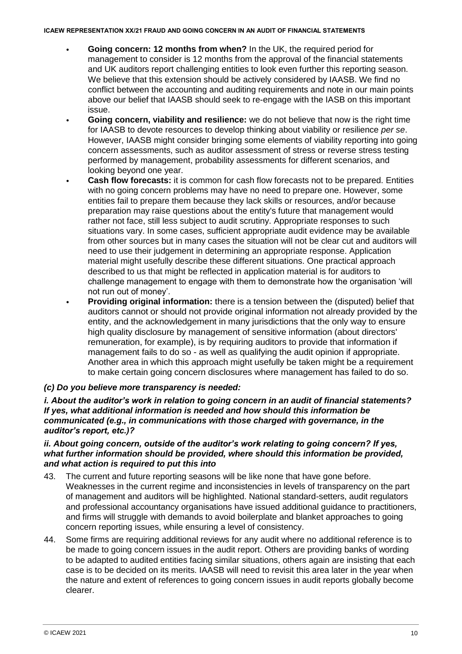- **Going concern: 12 months from when?** In the UK, the required period for management to consider is 12 months from the approval of the financial statements and UK auditors report challenging entities to look even further this reporting season. We believe that this extension should be actively considered by IAASB. We find no conflict between the accounting and auditing requirements and note in our main points above our belief that IAASB should seek to re-engage with the IASB on this important issue.
- **Going concern, viability and resilience:** we do not believe that now is the right time for IAASB to devote resources to develop thinking about viability or resilience *per se*. However, IAASB might consider bringing some elements of viability reporting into going concern assessments, such as auditor assessment of stress or reverse stress testing performed by management, probability assessments for different scenarios, and looking beyond one year.
- **Cash flow forecasts:** it is common for cash flow forecasts not to be prepared. Entities with no going concern problems may have no need to prepare one. However, some entities fail to prepare them because they lack skills or resources, and/or because preparation may raise questions about the entity's future that management would rather not face, still less subject to audit scrutiny. Appropriate responses to such situations vary. In some cases, sufficient appropriate audit evidence may be available from other sources but in many cases the situation will not be clear cut and auditors will need to use their judgement in determining an appropriate response. Application material might usefully describe these different situations. One practical approach described to us that might be reflected in application material is for auditors to challenge management to engage with them to demonstrate how the organisation 'will not run out of money'.
- **Providing original information:** there is a tension between the (disputed) belief that auditors cannot or should not provide original information not already provided by the entity, and the acknowledgement in many jurisdictions that the only way to ensure high quality disclosure by management of sensitive information (about directors' remuneration, for example), is by requiring auditors to provide that information if management fails to do so - as well as qualifying the audit opinion if appropriate. Another area in which this approach might usefully be taken might be a requirement to make certain going concern disclosures where management has failed to do so.

# *(c) Do you believe more transparency is needed:*

*i. About the auditor's work in relation to going concern in an audit of financial statements? If yes, what additional information is needed and how should this information be communicated (e.g., in communications with those charged with governance, in the auditor's report, etc.)?*

### *ii. About going concern, outside of the auditor's work relating to going concern? If yes, what further information should be provided, where should this information be provided, and what action is required to put this into*

- 43. The current and future reporting seasons will be like none that have gone before. Weaknesses in the current regime and inconsistencies in levels of transparency on the part of management and auditors will be highlighted. National standard-setters, audit regulators and professional accountancy organisations have issued additional guidance to practitioners, and firms will struggle with demands to avoid boilerplate and blanket approaches to going concern reporting issues, while ensuring a level of consistency.
- 44. Some firms are requiring additional reviews for any audit where no additional reference is to be made to going concern issues in the audit report. Others are providing banks of wording to be adapted to audited entities facing similar situations, others again are insisting that each case is to be decided on its merits. IAASB will need to revisit this area later in the year when the nature and extent of references to going concern issues in audit reports globally become clearer.